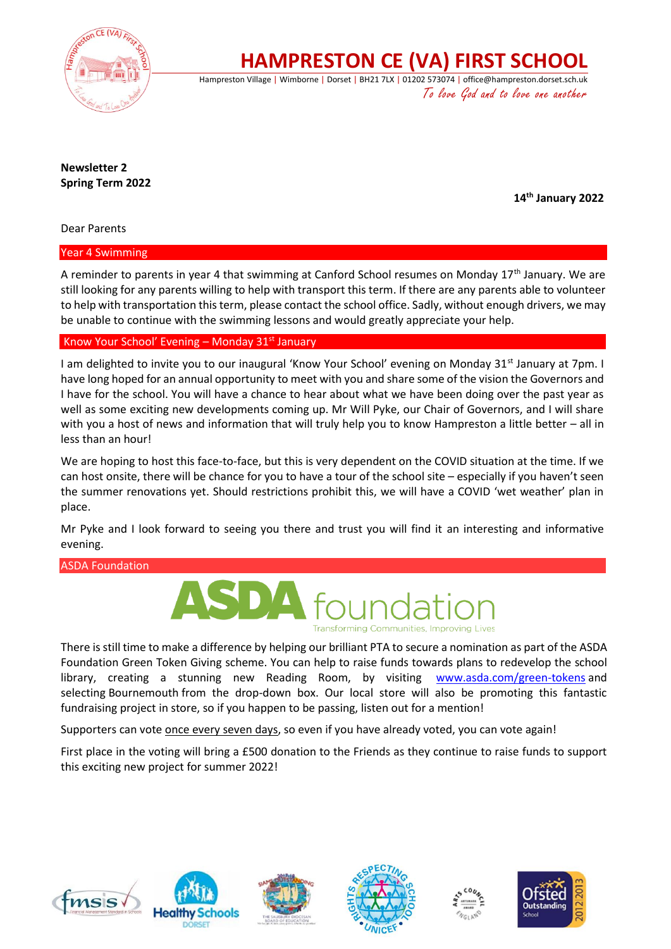

**HAMPRESTON CE (VA) FIRST SCHOOL**

Hampreston Village | Wimborne | Dorset | BH21 7LX | 01202 573074 | office@hampreston.dorset.sch.uk To love God and to love one another

**Newsletter 2 Spring Term 2022**

 **14th January 2022**

Dear Parents

Year 4 Swimming

A reminder to parents in year 4 that swimming at Canford School resumes on Monday 17th January. We are still looking for any parents willing to help with transport this term. If there are any parents able to volunteer to help with transportation this term, please contact the school office. Sadly, without enough drivers, we may be unable to continue with the swimming lessons and would greatly appreciate your help.

## Know Your School' Evening – Monday  $31<sup>st</sup>$  January

I am delighted to invite you to our inaugural 'Know Your School' evening on Monday 31<sup>st</sup> January at 7pm. I have long hoped for an annual opportunity to meet with you and share some of the vision the Governors and I have for the school. You will have a chance to hear about what we have been doing over the past year as well as some exciting new developments coming up. Mr Will Pyke, our Chair of Governors, and I will share with you a host of news and information that will truly help you to know Hampreston a little better – all in less than an hour!

We are hoping to host this face-to-face, but this is very dependent on the COVID situation at the time. If we can host onsite, there will be chance for you to have a tour of the school site – especially if you haven't seen the summer renovations yet. Should restrictions prohibit this, we will have a COVID 'wet weather' plan in place.

Mr Pyke and I look forward to seeing you there and trust you will find it an interesting and informative evening.

ASDA Foundation



There is still time to make a difference by helping our brilliant PTA to secure a nomination as part of the ASDA Foundation Green Token Giving scheme. You can help to raise funds towards plans to redevelop the school library, creating a stunning new Reading Room, by visiting [www.asda.com/green-tokens](http://www.asda.com/green-tokens) and selecting Bournemouth from the drop-down box. Our local store will also be promoting this fantastic fundraising project in store, so if you happen to be passing, listen out for a mention!

Supporters can vote once every seven days, so even if you have already voted, you can vote again!

First place in the voting will bring a £500 donation to the Friends as they continue to raise funds to support this exciting new project for summer 2022!











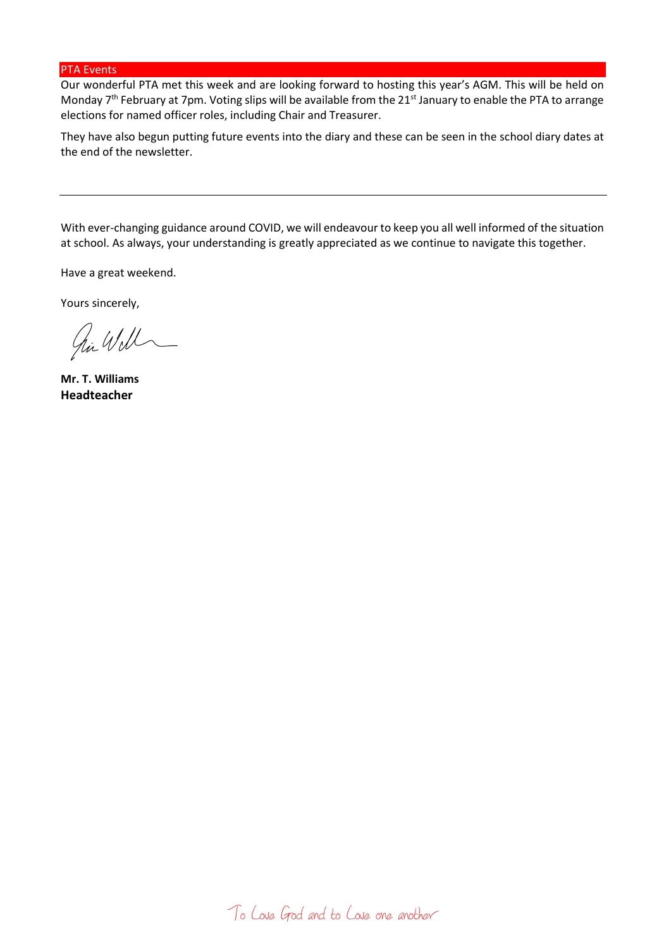## PTA Events

Our wonderful PTA met this week and are looking forward to hosting this year's AGM. This will be held on Monday 7<sup>th</sup> February at 7pm. Voting slips will be available from the 21<sup>st</sup> January to enable the PTA to arrange elections for named officer roles, including Chair and Treasurer.

They have also begun putting future events into the diary and these can be seen in the school diary dates at the end of the newsletter.

With ever-changing guidance around COVID, we will endeavour to keep you all well informed of the situation at school. As always, your understanding is greatly appreciated as we continue to navigate this together.

Have a great weekend.

Yours sincerely,

hi Will

**Mr. T. Williams Headteacher**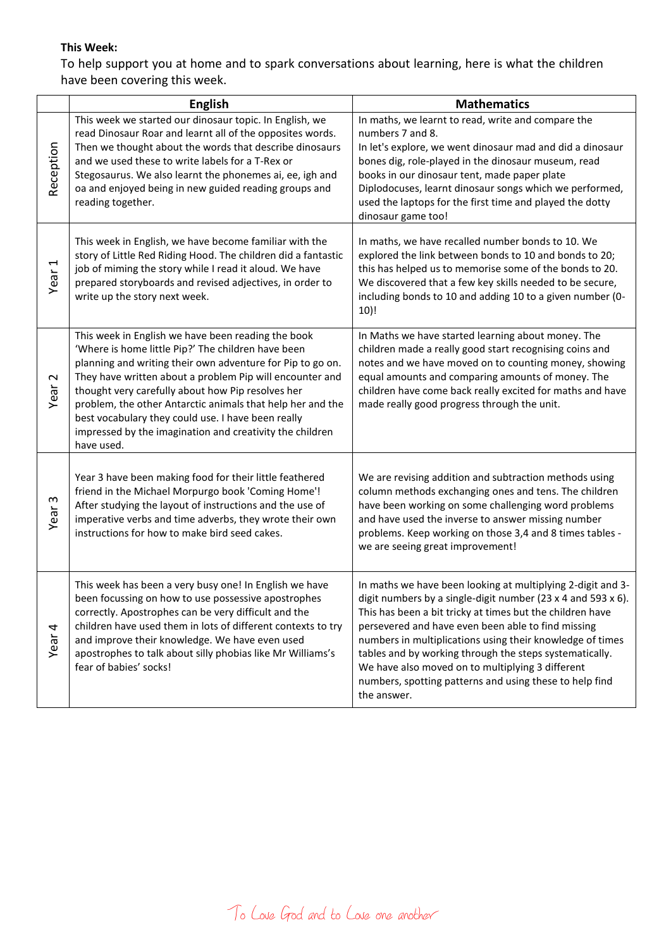## **This Week:**

To help support you at home and to spark conversations about learning, here is what the children have been covering this week.

|                         | <b>English</b>                                                                                                                                                                                                                                                                                                                                                                                                                                                                        | <b>Mathematics</b>                                                                                                                                                                                                                                                                                                                                                                                                                                                                                   |
|-------------------------|---------------------------------------------------------------------------------------------------------------------------------------------------------------------------------------------------------------------------------------------------------------------------------------------------------------------------------------------------------------------------------------------------------------------------------------------------------------------------------------|------------------------------------------------------------------------------------------------------------------------------------------------------------------------------------------------------------------------------------------------------------------------------------------------------------------------------------------------------------------------------------------------------------------------------------------------------------------------------------------------------|
| Reception               | This week we started our dinosaur topic. In English, we<br>read Dinosaur Roar and learnt all of the opposites words.<br>Then we thought about the words that describe dinosaurs<br>and we used these to write labels for a T-Rex or<br>Stegosaurus. We also learnt the phonemes ai, ee, igh and<br>oa and enjoyed being in new guided reading groups and<br>reading together.                                                                                                         | In maths, we learnt to read, write and compare the<br>numbers 7 and 8.<br>In let's explore, we went dinosaur mad and did a dinosaur<br>bones dig, role-played in the dinosaur museum, read<br>books in our dinosaur tent, made paper plate<br>Diplodocuses, learnt dinosaur songs which we performed,<br>used the laptops for the first time and played the dotty<br>dinosaur game too!                                                                                                              |
| Year <sub>1</sub>       | This week in English, we have become familiar with the<br>story of Little Red Riding Hood. The children did a fantastic<br>job of miming the story while I read it aloud. We have<br>prepared storyboards and revised adjectives, in order to<br>write up the story next week.                                                                                                                                                                                                        | In maths, we have recalled number bonds to 10. We<br>explored the link between bonds to 10 and bonds to 20;<br>this has helped us to memorise some of the bonds to 20.<br>We discovered that a few key skills needed to be secure,<br>including bonds to 10 and adding 10 to a given number (0-<br>10)!                                                                                                                                                                                              |
| $\mathbf{\sim}$<br>Year | This week in English we have been reading the book<br>'Where is home little Pip?' The children have been<br>planning and writing their own adventure for Pip to go on.<br>They have written about a problem Pip will encounter and<br>thought very carefully about how Pip resolves her<br>problem, the other Antarctic animals that help her and the<br>best vocabulary they could use. I have been really<br>impressed by the imagination and creativity the children<br>have used. | In Maths we have started learning about money. The<br>children made a really good start recognising coins and<br>notes and we have moved on to counting money, showing<br>equal amounts and comparing amounts of money. The<br>children have come back really excited for maths and have<br>made really good progress through the unit.                                                                                                                                                              |
| $\sim$<br>Year          | Year 3 have been making food for their little feathered<br>friend in the Michael Morpurgo book 'Coming Home'!<br>After studying the layout of instructions and the use of<br>imperative verbs and time adverbs, they wrote their own<br>instructions for how to make bird seed cakes.                                                                                                                                                                                                 | We are revising addition and subtraction methods using<br>column methods exchanging ones and tens. The children<br>have been working on some challenging word problems<br>and have used the inverse to answer missing number<br>problems. Keep working on those 3,4 and 8 times tables -<br>we are seeing great improvement!                                                                                                                                                                         |
| 4<br>Year               | This week has been a very busy one! In English we have<br>been focussing on how to use possessive apostrophes<br>correctly. Apostrophes can be very difficult and the<br>children have used them in lots of different contexts to try<br>and improve their knowledge. We have even used<br>apostrophes to talk about silly phobias like Mr Williams's<br>fear of babies' socks!                                                                                                       | In maths we have been looking at multiplying 2-digit and 3-<br>digit numbers by a single-digit number (23 x 4 and 593 x 6).<br>This has been a bit tricky at times but the children have<br>persevered and have even been able to find missing<br>numbers in multiplications using their knowledge of times<br>tables and by working through the steps systematically.<br>We have also moved on to multiplying 3 different<br>numbers, spotting patterns and using these to help find<br>the answer. |